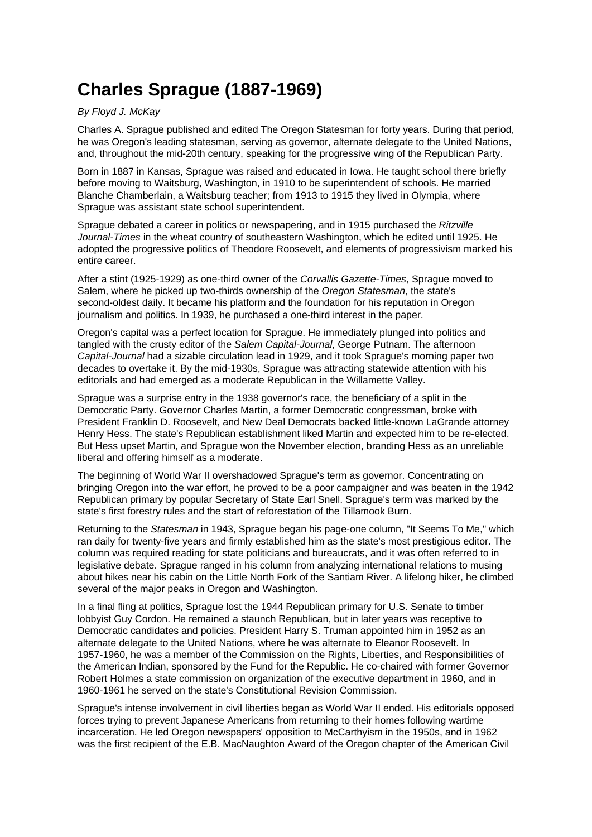## **Charles Sprague (1887-1969)**

## By Floyd J. McKay

Charles A. Sprague published and edited The Oregon Statesman for forty years. During that period, he was Oregon's leading statesman, serving as governor, alternate delegate to the United Nations, and, throughout the mid-20th century, speaking for the progressive wing of the Republican Party.

Born in 1887 in Kansas, Sprague was raised and educated in Iowa. He taught school there briefly before moving to Waitsburg, Washington, in 1910 to be superintendent of schools. He married Blanche Chamberlain, a Waitsburg teacher; from 1913 to 1915 they lived in Olympia, where Sprague was assistant state school superintendent.

Sprague debated a career in politics or newspapering, and in 1915 purchased the Ritzville Journal-Times in the wheat country of southeastern Washington, which he edited until 1925. He adopted the progressive politics of Theodore Roosevelt, and elements of progressivism marked his entire career.

After a stint (1925-1929) as one-third owner of the Corvallis Gazette-Times, Sprague moved to Salem, where he picked up two-thirds ownership of the Oregon Statesman, the state's second-oldest daily. It became his platform and the foundation for his reputation in Oregon journalism and politics. In 1939, he purchased a one-third interest in the paper.

Oregon's capital was a perfect location for Sprague. He immediately plunged into politics and tangled with the crusty editor of the Salem Capital-Journal, George Putnam. The afternoon Capital-Journal had a sizable circulation lead in 1929, and it took Sprague's morning paper two decades to overtake it. By the mid-1930s, Sprague was attracting statewide attention with his editorials and had emerged as a moderate Republican in the Willamette Valley.

Sprague was a surprise entry in the 1938 governor's race, the beneficiary of a split in the Democratic Party. Governor Charles Martin, a former Democratic congressman, broke with President Franklin D. Roosevelt, and New Deal Democrats backed little-known LaGrande attorney Henry Hess. The state's Republican establishment liked Martin and expected him to be re-elected. But Hess upset Martin, and Sprague won the November election, branding Hess as an unreliable liberal and offering himself as a moderate.

The beginning of World War II overshadowed Sprague's term as governor. Concentrating on bringing Oregon into the war effort, he proved to be a poor campaigner and was beaten in the 1942 Republican primary by popular Secretary of State Earl Snell. Sprague's term was marked by the state's first forestry rules and the start of reforestation of the Tillamook Burn.

Returning to the Statesman in 1943, Sprague began his page-one column, "It Seems To Me," which ran daily for twenty-five years and firmly established him as the state's most prestigious editor. The column was required reading for state politicians and bureaucrats, and it was often referred to in legislative debate. Sprague ranged in his column from analyzing international relations to musing about hikes near his cabin on the Little North Fork of the Santiam River. A lifelong hiker, he climbed several of the major peaks in Oregon and Washington.

In a final fling at politics, Sprague lost the 1944 Republican primary for U.S. Senate to timber lobbyist Guy Cordon. He remained a staunch Republican, but in later years was receptive to Democratic candidates and policies. President Harry S. Truman appointed him in 1952 as an alternate delegate to the United Nations, where he was alternate to Eleanor Roosevelt. In 1957-1960, he was a member of the Commission on the Rights, Liberties, and Responsibilities of the American Indian, sponsored by the Fund for the Republic. He co-chaired with former Governor Robert Holmes a state commission on organization of the executive department in 1960, and in 1960-1961 he served on the state's Constitutional Revision Commission.

Sprague's intense involvement in civil liberties began as World War II ended. His editorials opposed forces trying to prevent Japanese Americans from returning to their homes following wartime incarceration. He led Oregon newspapers' opposition to McCarthyism in the 1950s, and in 1962 was the first recipient of the E.B. MacNaughton Award of the Oregon chapter of the American Civil